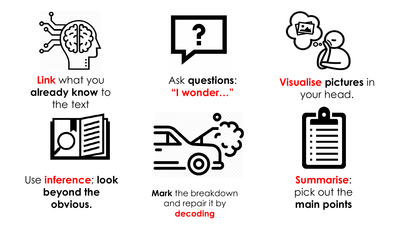

**Link** what you **already know** to the text



Use **inference**; **look beyond the obvious.** 



Ask **questions**: **"I wonder…"**



**Mark** the breakdown and repair it by **decoding**



**Visualise pictures** in your head.



**Summarise**: pick out the **main points**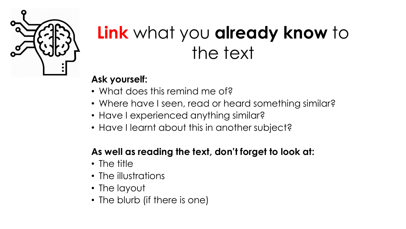

# **Link** what you **already know** to the text

### **Ask yourself:**

- What does this remind me of?
- Where have I seen, read or heard something similar?
- Have I experienced anything similar?
- Have I learnt about this in another subject?

### **As well as reading the text, don't forget to look at:**

- The title
- The illustrations
- The layout
- The blurb (if there is one)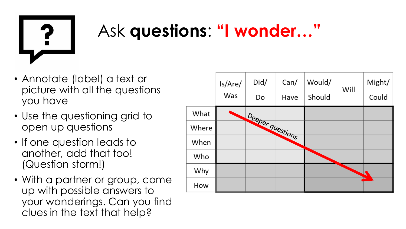

## Ask **questions**: **"I wonder…"**

- Annotate (label) a text or picture with all the questions you have
- Use the questioning grid to open up questions
- If one question leads to another, add that too! (Question storm!)
- With a partner or group, come up with possible answers to your wonderings. Can you find clues in the text that help?

|       | ls/Are/<br>Was | Did/<br>Do       | Can/<br>Have | Would/<br>Should | Will | Might/<br>Could |
|-------|----------------|------------------|--------------|------------------|------|-----------------|
| What  |                |                  |              |                  |      |                 |
| Where |                | Deeper questions |              |                  |      |                 |
| When  |                |                  |              |                  |      |                 |
| Who   |                |                  |              |                  |      |                 |
| Why   |                |                  |              |                  |      |                 |
| How   |                |                  |              |                  |      |                 |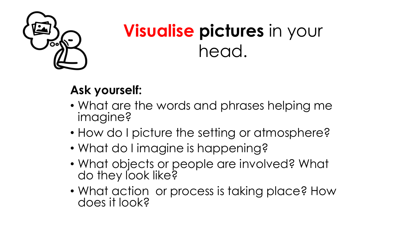

# **Visualise pictures** in your head.

## **Ask yourself:**

- What are the words and phrases helping me imagine?
- How do I picture the setting or atmosphere?
- What do I imagine is happening?
- What objects or people are involved? What do they look like?
- What action or process is taking place? How does it look?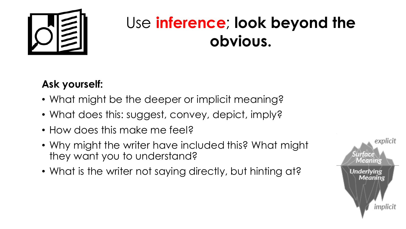

## Use **inference**; **look beyond the obvious.**

## **Ask yourself:**

- What might be the deeper or implicit meaning?
- What does this: suggest, convey, depict, imply?
- How does this make me feel?
- Why might the writer have included this? What might they want you to understand?
- What is the writer not saying directly, but hinting at?

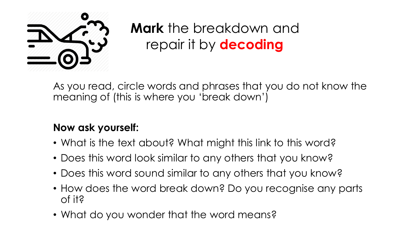

**Mark** the breakdown and repair it by **decoding**

As you read, circle words and phrases that you do not know the meaning of (this is where you 'break down')

### **Now ask yourself:**

- What is the text about? What might this link to this word?
- Does this word look similar to any others that you know?
- Does this word sound similar to any others that you know?
- How does the word break down? Do you recognise any parts of it?
- What do you wonder that the word means?